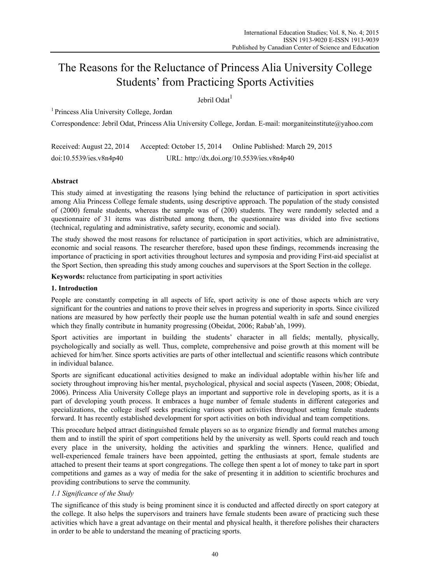# The Reasons for the Reluctance of Princess Alia University College Students' from Practicing Sports Activities

Jehril Odat<sup>1</sup>

1 Princess Alia University College, Jordan

Correspondence: Jebril Odat, Princess Alia University College, Jordan. E-mail: morganiteinstitute@yahoo.com

Received: August 22, 2014 Accepted: October 15, 2014 Online Published: March 29, 2015 doi:10.5539/ies.v8n4p40 URL: http://dx.doi.org/10.5539/ies.v8n4p40

## **Abstract**

This study aimed at investigating the reasons lying behind the reluctance of participation in sport activities among Alia Princess College female students, using descriptive approach. The population of the study consisted of (2000) female students, whereas the sample was of (200) students. They were randomly selected and a questionnaire of 31 items was distributed among them, the questionnaire was divided into five sections (technical, regulating and administrative, safety security, economic and social).

The study showed the most reasons for reluctance of participation in sport activities, which are administrative, economic and social reasons. The researcher therefore, based upon these findings, recommends increasing the importance of practicing in sport activities throughout lectures and symposia and providing First-aid specialist at the Sport Section, then spreading this study among couches and supervisors at the Sport Section in the college.

**Keywords:** reluctance from participating in sport activities

## **1. Introduction**

People are constantly competing in all aspects of life, sport activity is one of those aspects which are very significant for the countries and nations to prove their selves in progress and superiority in sports. Since civilized nations are measured by how perfectly their people use the human potential wealth in safe and sound energies which they finally contribute in humanity progressing (Obeidat, 2006; Rabab'ah, 1999).

Sport activities are important in building the students' character in all fields; mentally, physically, psychologically and socially as well. Thus, complete, comprehensive and poise growth at this moment will be achieved for him/her. Since sports activities are parts of other intellectual and scientific reasons which contribute in individual balance.

Sports are significant educational activities designed to make an individual adoptable within his/her life and society throughout improving his/her mental, psychological, physical and social aspects (Yaseen, 2008; Obiedat, 2006). Princess Alia University College plays an important and supportive role in developing sports, as it is a part of developing youth process. It embraces a huge number of female students in different categories and specializations, the college itself seeks practicing various sport activities throughout setting female students forward. It has recently established development for sport activities on both individual and team competitions.

This procedure helped attract distinguished female players so as to organize friendly and formal matches among them and to instill the spirit of sport competitions held by the university as well. Sports could reach and touch every place in the university, holding the activities and sparkling the winners. Hence, qualified and well-experienced female trainers have been appointed, getting the enthusiasts at sport, female students are attached to present their teams at sport congregations. The college then spent a lot of money to take part in sport competitions and games as a way of media for the sake of presenting it in addition to scientific brochures and providing contributions to serve the community.

## *1.1 Significance of the Study*

The significance of this study is being prominent since it is conducted and affected directly on sport category at the college. It also helps the supervisors and trainers have female students been aware of practicing such these activities which have a great advantage on their mental and physical health, it therefore polishes their characters in order to be able to understand the meaning of practicing sports.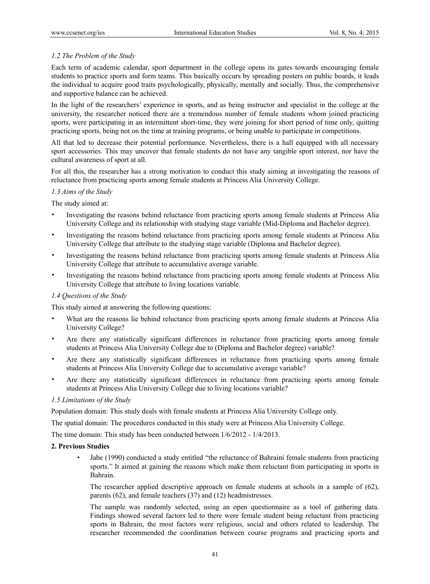## *1.2 The Problem of the Study*

Each term of academic calendar, sport department in the college opens its gates towards encouraging female students to practice sports and form teams. This basically occurs by spreading posters on public boards, it leads the individual to acquire good traits psychologically, physically, mentally and socially. Thus, the comprehensive and supportive balance can be achieved.

In the light of the researchers' experience in sports, and as being instructor and specialist in the college at the university, the researcher noticed there are a tremendous number of female students whom joined practicing sports, were participating in an intermittent short-time, they were joining for short period of time only, quitting practicing sports, being not on the time at training programs, or being unable to participate in competitions.

All that led to decrease their potential performance. Nevertheless, there is a hall equipped with all necessary sport accessories. This may uncover that female students do not have any tangible sport interest, nor have the cultural awareness of sport at all.

For all this, the researcher has a strong motivation to conduct this study aiming at investigating the reasons of reluctance from practicing sports among female students at Princess Alia University College.

## *1.3 Aims of the Study*

The study aimed at:

- Investigating the reasons behind reluctance from practicing sports among female students at Princess Alia University College and its relationship with studying stage variable (Mid-Diploma and Bachelor degree).
- Investigating the reasons behind reluctance from practicing sports among female students at Princess Alia University College that attribute to the studying stage variable (Diploma and Bachelor degree).
- Investigating the reasons behind reluctance from practicing sports among female students at Princess Alia University College that attribute to accumulative average variable.
- Investigating the reasons behind reluctance from practicing sports among female students at Princess Alia University College that attribute to living locations variable.

## *1.4 Questions of the Study*

This study aimed at answering the following questions:

- What are the reasons lie behind reluctance from practicing sports among female students at Princess Alia University College?
- Are there any statistically significant differences in reluctance from practicing sports among female students at Princess Alia University College due to (Diploma and Bachelor degree) variable?
- Are there any statistically significant differences in reluctance from practicing sports among female students at Princess Alia University College due to accumulative average variable?
- Are there any statistically significant differences in reluctance from practicing sports among female students at Princess Alia University College due to living locations variable?

#### *1.5 Limitations of the Study*

Population domain: This study deals with female students at Princess Alia University College only.

The spatial domain: The procedures conducted in this study were at Princess Alia University College.

The time domain: This study has been conducted between 1/6/2012 - 1/4/2013.

#### **2. Previous Studies**

• Jabe (1990) conducted a study entitled "the reluctance of Bahraini female students from practicing sports." It aimed at gaining the reasons which make them reluctant from participating in sports in Bahrain.

The researcher applied descriptive approach on female students at schools in a sample of (62), parents (62), and female teachers (37) and (12) headmistresses.

The sample was randomly selected, using an open questionnaire as a tool of gathering data. Findings showed several factors led to there were female student being reluctant from practicing sports in Bahrain, the most factors were religious, social and others related to leadership. The researcher recommended the coordination between course programs and practicing sports and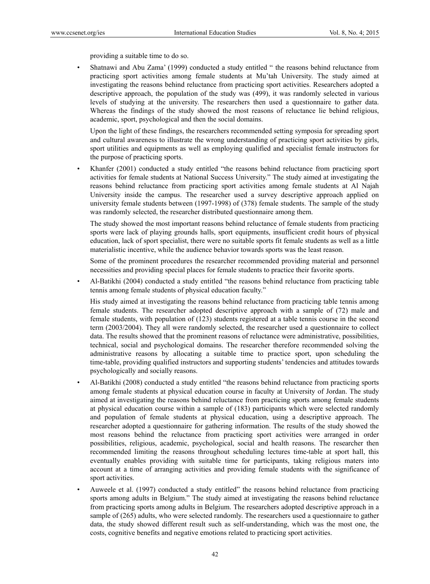providing a suitable time to do so.

• Shatnawi and Abu Zama' (1999) conducted a study entitled " the reasons behind reluctance from practicing sport activities among female students at Mu'tah University. The study aimed at investigating the reasons behind reluctance from practicing sport activities. Researchers adopted a descriptive approach, the population of the study was (499), it was randomly selected in various levels of studying at the university. The researchers then used a questionnaire to gather data. Whereas the findings of the study showed the most reasons of reluctance lie behind religious, academic, sport, psychological and then the social domains.

Upon the light of these findings, the researchers recommended setting symposia for spreading sport and cultural awareness to illustrate the wrong understanding of practicing sport activities by girls, sport utilities and equipments as well as employing qualified and specialist female instructors for the purpose of practicing sports.

• Khanfer (2001) conducted a study entitled "the reasons behind reluctance from practicing sport activities for female students at National Success University." The study aimed at investigating the reasons behind reluctance from practicing sport activities among female students at Al Najah University inside the campus. The researcher used a survey descriptive approach applied on university female students between (1997-1998) of (378) female students. The sample of the study was randomly selected, the researcher distributed questionnaire among them.

The study showed the most important reasons behind reluctance of female students from practicing sports were lack of playing grounds halls, sport equipments, insufficient credit hours of physical education, lack of sport specialist, there were no suitable sports fit female students as well as a little materialistic incentive, while the audience behavior towards sports was the least reason.

Some of the prominent procedures the researcher recommended providing material and personnel necessities and providing special places for female students to practice their favorite sports.

• Al-Batikhi (2004) conducted a study entitled "the reasons behind reluctance from practicing table tennis among female students of physical education faculty."

His study aimed at investigating the reasons behind reluctance from practicing table tennis among female students. The researcher adopted descriptive approach with a sample of (72) male and female students, with population of (123) students registered at a table tennis course in the second term (2003/2004). They all were randomly selected, the researcher used a questionnaire to collect data. The results showed that the prominent reasons of reluctance were administrative, possibilities, technical, social and psychological domains. The researcher therefore recommended solving the administrative reasons by allocating a suitable time to practice sport, upon scheduling the time-table, providing qualified instructors and supporting students' tendencies and attitudes towards psychologically and socially reasons.

- Al-Batikhi (2008) conducted a study entitled "the reasons behind reluctance from practicing sports among female students at physical education course in faculty at University of Jordan. The study aimed at investigating the reasons behind reluctance from practicing sports among female students at physical education course within a sample of (183) participants which were selected randomly and population of female students at physical education, using a descriptive approach. The researcher adopted a questionnaire for gathering information. The results of the study showed the most reasons behind the reluctance from practicing sport activities were arranged in order possibilities, religious, academic, psychological, social and health reasons. The researcher then recommended limiting the reasons throughout scheduling lectures time-table at sport hall, this eventually enables providing with suitable time for participants, taking religious maters into account at a time of arranging activities and providing female students with the significance of sport activities.
- Auweele et al. (1997) conducted a study entitled" the reasons behind reluctance from practicing sports among adults in Belgium." The study aimed at investigating the reasons behind reluctance from practicing sports among adults in Belgium. The researchers adopted descriptive approach in a sample of (265) adults, who were selected randomly. The researchers used a questionnaire to gather data, the study showed different result such as self-understanding, which was the most one, the costs, cognitive benefits and negative emotions related to practicing sport activities.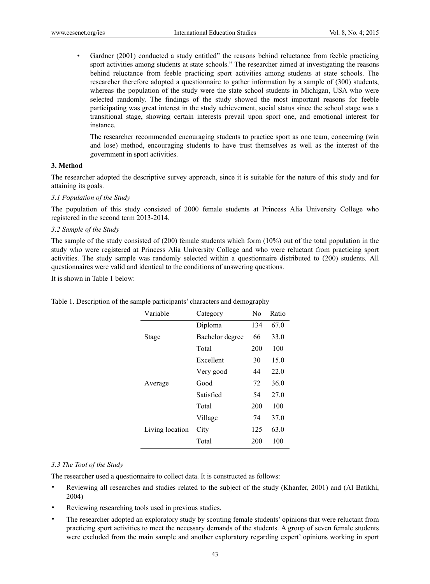• Gardner (2001) conducted a study entitled" the reasons behind reluctance from feeble practicing sport activities among students at state schools." The researcher aimed at investigating the reasons behind reluctance from feeble practicing sport activities among students at state schools. The researcher therefore adopted a questionnaire to gather information by a sample of (300) students, whereas the population of the study were the state school students in Michigan, USA who were selected randomly. The findings of the study showed the most important reasons for feeble participating was great interest in the study achievement, social status since the school stage was a transitional stage, showing certain interests prevail upon sport one, and emotional interest for instance.

The researcher recommended encouraging students to practice sport as one team, concerning (win and lose) method, encouraging students to have trust themselves as well as the interest of the government in sport activities.

#### **3. Method**

The researcher adopted the descriptive survey approach, since it is suitable for the nature of this study and for attaining its goals.

#### *3.1 Population of the Study*

The population of this study consisted of 2000 female students at Princess Alia University College who registered in the second term 2013-2014.

#### *3.2 Sample of the Study*

The sample of the study consisted of (200) female students which form (10%) out of the total population in the study who were registered at Princess Alia University College and who were reluctant from practicing sport activities. The study sample was randomly selected within a questionnaire distributed to (200) students. All questionnaires were valid and identical to the conditions of answering questions.

It is shown in Table 1 below:

| Variable        | Category        | N <sub>0</sub> | Ratio |
|-----------------|-----------------|----------------|-------|
|                 | Diploma         | 134            | 67.0  |
| Stage           | Bachelor degree | 66             | 33.0  |
|                 | Total           | 200            | 100   |
|                 | Excellent       | 30             | 15.0  |
|                 | Very good       | 44             | 22.0  |
| Average         | Good            | 72             | 36.0  |
|                 | Satisfied       | 54             | 27.0  |
|                 | Total           | 200            | 100   |
|                 | Village         | 74             | 37.0  |
| Living location | City            | 125            | 63.0  |
|                 | Total           | 200            | 100   |

Table 1. Description of the sample participants' characters and demography

#### *3.3 The Tool of the Study*

The researcher used a questionnaire to collect data. It is constructed as follows:

- Reviewing all researches and studies related to the subject of the study (Khanfer, 2001) and (Al Batikhi, 2004)
- Reviewing researching tools used in previous studies.
- The researcher adopted an exploratory study by scouting female students' opinions that were reluctant from practicing sport activities to meet the necessary demands of the students. A group of seven female students were excluded from the main sample and another exploratory regarding expert' opinions working in sport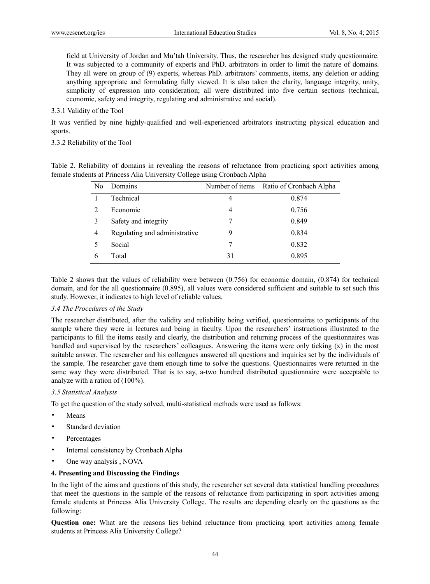field at University of Jordan and Mu'tah University. Thus, the researcher has designed study questionnaire. It was subjected to a community of experts and PhD. arbitrators in order to limit the nature of domains. They all were on group of (9) experts, whereas PhD. arbitrators' comments, items, any deletion or adding anything appropriate and formulating fully viewed. It is also taken the clarity, language integrity, unity, simplicity of expression into consideration; all were distributed into five certain sections (technical, economic, safety and integrity, regulating and administrative and social).

#### 3.3.1 Validity of the Tool

It was verified by nine highly-qualified and well-experienced arbitrators instructing physical education and sports.

### 3.3.2 Reliability of the Tool

|  | Table 2. Reliability of domains in revealing the reasons of reluctance from practicing sport activities among |  |  |  |  |  |
|--|---------------------------------------------------------------------------------------------------------------|--|--|--|--|--|
|  | female students at Princess Alia University College using Cronbach Alpha                                      |  |  |  |  |  |

| No | Domains                       |    | Number of items Ratio of Cronbach Alpha |
|----|-------------------------------|----|-----------------------------------------|
|    | Technical                     | 4  | 0.874                                   |
| 2  | Economic                      | 4  | 0.756                                   |
| 3  | Safety and integrity          | 7  | 0.849                                   |
| 4  | Regulating and administrative | 9  | 0.834                                   |
|    | Social                        |    | 0.832                                   |
| 6  | Total                         | 31 | 0.895                                   |

Table 2 shows that the values of reliability were between (0.756) for economic domain, (0.874) for technical domain, and for the all questionnaire (0.895), all values were considered sufficient and suitable to set such this study. However, it indicates to high level of reliable values.

#### *3.4 The Procedures of the Study*

The researcher distributed, after the validity and reliability being verified, questionnaires to participants of the sample where they were in lectures and being in faculty. Upon the researchers' instructions illustrated to the participants to fill the items easily and clearly, the distribution and returning process of the questionnaires was handled and supervised by the researchers' colleagues. Answering the items were only ticking (x) in the most suitable answer. The researcher and his colleagues answered all questions and inquiries set by the individuals of the sample. The researcher gave them enough time to solve the questions. Questionnaires were returned in the same way they were distributed. That is to say, a-two hundred distributed questionnaire were acceptable to analyze with a ration of (100%).

#### *3.5 Statistical Analysis*

To get the question of the study solved, multi-statistical methods were used as follows:

- Means
- Standard deviation
- Percentages
- Internal consistency by Cronbach Alpha
- One way analysis , NOVA

### **4. Presenting and Discussing the Findings**

In the light of the aims and questions of this study, the researcher set several data statistical handling procedures that meet the questions in the sample of the reasons of reluctance from participating in sport activities among female students at Princess Alia University College. The results are depending clearly on the questions as the following:

**Question one:** What are the reasons lies behind reluctance from practicing sport activities among female students at Princess Alia University College?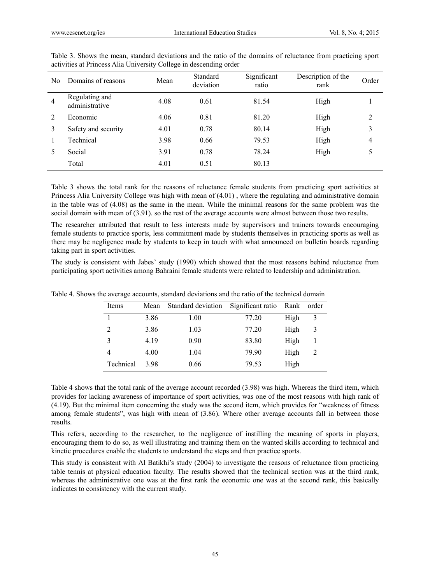| No.            | Domains of reasons               | Mean | Standard<br>deviation | Significant<br>ratio | Description of the<br>rank | Order |
|----------------|----------------------------------|------|-----------------------|----------------------|----------------------------|-------|
| $\overline{4}$ | Regulating and<br>administrative | 4.08 | 0.61                  | 81.54                | High                       |       |
| 2              | Economic                         | 4.06 | 0.81                  | 81.20                | High                       | 2     |
| 3              | Safety and security              | 4.01 | 0.78                  | 80.14                | High                       | 3     |
|                | Technical                        | 3.98 | 0.66                  | 79.53                | High                       | 4     |
|                | Social                           | 3.91 | 0.78                  | 78.24                | High                       | 5     |
|                | Total                            | 4.01 | 0.51                  | 80.13                |                            |       |
|                |                                  |      |                       |                      |                            |       |

Table 3. Shows the mean, standard deviations and the ratio of the domains of reluctance from practicing sport activities at Princess Alia University College in descending order

Table 3 shows the total rank for the reasons of reluctance female students from practicing sport activities at Princess Alia University College was high with mean of (4.01) , where the regulating and administrative domain in the table was of (4.08) as the same in the mean. While the minimal reasons for the same problem was the social domain with mean of (3.91). so the rest of the average accounts were almost between those two results.

The researcher attributed that result to less interests made by supervisors and trainers towards encouraging female students to practice sports, less commitment made by students themselves in practicing sports as well as there may be negligence made by students to keep in touch with what announced on bulletin boards regarding taking part in sport activities.

The study is consistent with Jabes' study (1990) which showed that the most reasons behind reluctance from participating sport activities among Bahraini female students were related to leadership and administration.

| Items     | Mean | Standard deviation | Significant ratio | Rank | order |
|-----------|------|--------------------|-------------------|------|-------|
|           | 3.86 | 1.00               | 77.20             | High | 3     |
| 2         | 3.86 | 1.03               | 77.20             | High | 3     |
| 3         | 4.19 | 0.90               | 83.80             | High |       |
| 4         | 4.00 | 1.04               | 79.90             | High |       |
| Technical | 3.98 | 0.66               | 79.53             | High |       |

Table 4. Shows the average accounts, standard deviations and the ratio of the technical domain

Table 4 shows that the total rank of the average account recorded (3.98) was high. Whereas the third item, which provides for lacking awareness of importance of sport activities, was one of the most reasons with high rank of (4.19). But the minimal item concerning the study was the second item, which provides for "weakness of fitness among female students", was high with mean of (3.86). Where other average accounts fall in between those results.

This refers, according to the researcher, to the negligence of instilling the meaning of sports in players, encouraging them to do so, as well illustrating and training them on the wanted skills according to technical and kinetic procedures enable the students to understand the steps and then practice sports.

This study is consistent with Al Batikhi's study (2004) to investigate the reasons of reluctance from practicing table tennis at physical education faculty. The results showed that the technical section was at the third rank, whereas the administrative one was at the first rank the economic one was at the second rank, this basically indicates to consistency with the current study.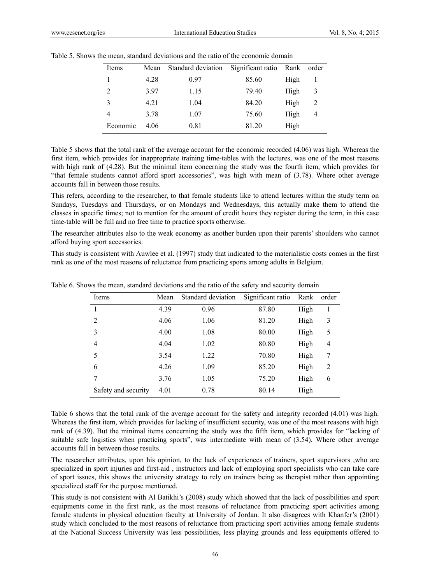| Items          | Mean | Standard deviation Significant ratio |       | Rank | order          |
|----------------|------|--------------------------------------|-------|------|----------------|
|                | 4.28 | 0.97                                 | 85.60 | High |                |
| $\overline{c}$ | 397  | 1.15                                 | 79.40 | High |                |
| 3              | 4.21 | 1.04                                 | 84.20 | High |                |
| 4              | 3.78 | 1.07                                 | 75.60 | High | $\overline{4}$ |
| Economic       | 4 06 | 0.81                                 | 81.20 | High |                |

Table 5. Shows the mean, standard deviations and the ratio of the economic domain

Table 5 shows that the total rank of the average account for the economic recorded (4.06) was high. Whereas the first item, which provides for inappropriate training time-tables with the lectures, was one of the most reasons with high rank of (4.28). But the minimal item concerning the study was the fourth item, which provides for "that female students cannot afford sport accessories", was high with mean of (3.78). Where other average accounts fall in between those results.

This refers, according to the researcher, to that female students like to attend lectures within the study term on Sundays, Tuesdays and Thursdays, or on Mondays and Wednesdays, this actually make them to attend the classes in specific times; not to mention for the amount of credit hours they register during the term, in this case time-table will be full and no free time to practice sports otherwise.

The researcher attributes also to the weak economy as another burden upon their parents' shoulders who cannot afford buying sport accessories.

This study is consistent with Auwlee et al. (1997) study that indicated to the materialistic costs comes in the first rank as one of the most reasons of reluctance from practicing sports among adults in Belgium.

| Items               | Mean | Standard deviation | Significant ratio | Rank | order |
|---------------------|------|--------------------|-------------------|------|-------|
|                     | 4.39 | 0.96               | 87.80             | High |       |
| $\overline{2}$      | 4.06 | 1.06               | 81.20             | High | 3     |
| 3                   | 4.00 | 1.08               | 80.00             | High | 5     |
| 4                   | 4.04 | 1.02               | 80.80             | High | 4     |
| 5                   | 3.54 | 1.22               | 70.80             | High | 7     |
| 6                   | 4.26 | 1.09               | 85.20             | High | 2     |
| 7                   | 3.76 | 1.05               | 75.20             | High | 6     |
| Safety and security | 4.01 | 0.78               | 80.14             | High |       |

Table 6. Shows the mean, standard deviations and the ratio of the safety and security domain

Table 6 shows that the total rank of the average account for the safety and integrity recorded (4.01) was high. Whereas the first item, which provides for lacking of insufficient security, was one of the most reasons with high rank of (4.39). But the minimal items concerning the study was the fifth item, which provides for "lacking of suitable safe logistics when practicing sports", was intermediate with mean of (3.54). Where other average accounts fall in between those results.

The researcher attributes, upon his opinion, to the lack of experiences of trainers, sport supervisors ,who are specialized in sport injuries and first-aid , instructors and lack of employing sport specialists who can take care of sport issues, this shows the university strategy to rely on trainers being as therapist rather than appointing specialized staff for the purpose mentioned.

This study is not consistent with Al Batikhi's (2008) study which showed that the lack of possibilities and sport equipments come in the first rank, as the most reasons of reluctance from practicing sport activities among female students in physical education faculty at University of Jordan. It also disagrees with Khanfer's (2001) study which concluded to the most reasons of reluctance from practicing sport activities among female students at the National Success University was less possibilities, less playing grounds and less equipments offered to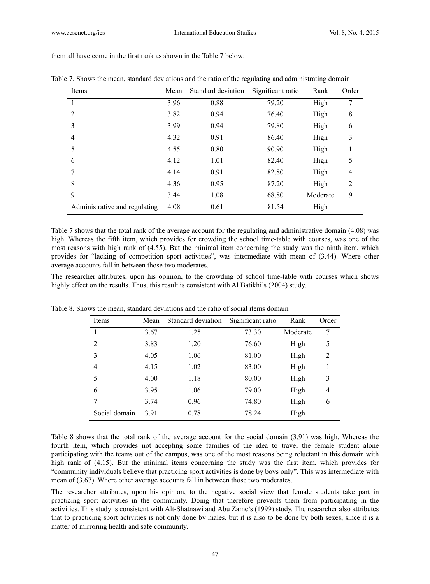Table 7. Shows the mean, standard deviations and the ratio of the regulating and administrating domain

| Items                         | Mean | Standard deviation | Significant ratio | Rank     | Order          |
|-------------------------------|------|--------------------|-------------------|----------|----------------|
|                               | 3.96 | 0.88               | 79.20             | High     | 7              |
| 2                             | 3.82 | 0.94               | 76.40             | High     | 8              |
| 3                             | 3.99 | 0.94               | 79.80             | High     | 6              |
| 4                             | 4.32 | 0.91               | 86.40             | High     | 3              |
| 5                             | 4.55 | 0.80               | 90.90             | High     | 1              |
| 6                             | 4.12 | 1.01               | 82.40             | High     | 5              |
| 7                             | 4.14 | 0.91               | 82.80             | High     | $\overline{4}$ |
| 8                             | 4.36 | 0.95               | 87.20             | High     | $\overline{2}$ |
| 9                             | 3.44 | 1.08               | 68.80             | Moderate | 9              |
| Administrative and regulating | 4.08 | 0.61               | 81.54             | High     |                |

them all have come in the first rank as shown in the Table 7 below:

| Table 7 shows that the total rank of the average account for the regulating and administrative domain (4.08) was |
|------------------------------------------------------------------------------------------------------------------|
| high. Whereas the fifth item, which provides for crowding the school time-table with courses, was one of the     |
| most reasons with high rank of (4.55). But the minimal item concerning the study was the ninth item, which       |
| provides for "lacking of competition sport activities", was intermediate with mean of (3.44). Where other        |
| average accounts fall in between those two moderates.                                                            |

The researcher attributes, upon his opinion, to the crowding of school time-table with courses which shows highly effect on the results. Thus, this result is consistent with Al Batikhi's (2004) study.

| <b>Items</b>   | Mean | Standard deviation | Significant ratio | Rank     | Order          |
|----------------|------|--------------------|-------------------|----------|----------------|
| 1              | 3.67 | 1.25               | 73.30             | Moderate | 7              |
| $\overline{2}$ | 3.83 | 1.20               | 76.60             | High     | 5              |
| 3              | 4.05 | 1.06               | 81.00             | High     | $\overline{2}$ |
| 4              | 4.15 | 1.02               | 83.00             | High     | 1              |
| 5              | 4.00 | 1.18               | 80.00             | High     | 3              |
| 6              | 3.95 | 1.06               | 79.00             | High     | 4              |
| 7              | 3.74 | 0.96               | 74.80             | High     | 6              |
| Social domain  | 3.91 | 0.78               | 78.24             | High     |                |

Table 8. Shows the mean, standard deviations and the ratio of social items domain

Table 8 shows that the total rank of the average account for the social domain (3.91) was high. Whereas the fourth item, which provides not accepting some families of the idea to travel the female student alone participating with the teams out of the campus, was one of the most reasons being reluctant in this domain with high rank of (4.15). But the minimal items concerning the study was the first item, which provides for "community individuals believe that practicing sport activities is done by boys only". This was intermediate with mean of (3.67). Where other average accounts fall in between those two moderates.

The researcher attributes, upon his opinion, to the negative social view that female students take part in practicing sport activities in the community. Doing that therefore prevents them from participating in the activities. This study is consistent with Alt-Shatnawi and Abu Zame's (1999) study. The researcher also attributes that to practicing sport activities is not only done by males, but it is also to be done by both sexes, since it is a matter of mirroring health and safe community.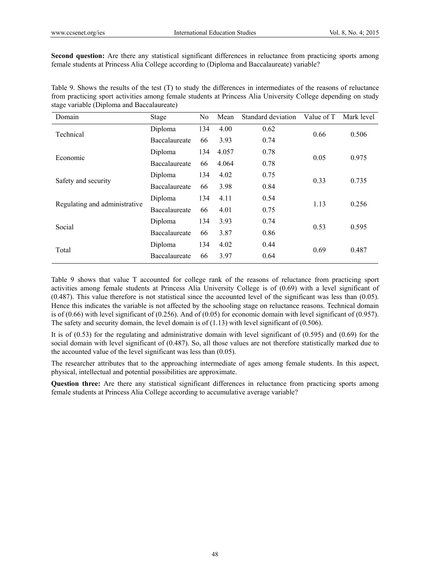**Second question:** Are there any statistical significant differences in reluctance from practicing sports among female students at Princess Alia College according to (Diploma and Baccalaureate) variable?

Table 9. Shows the results of the test (T) to study the differences in intermediates of the reasons of reluctance from practicing sport activities among female students at Princess Alia University College depending on study stage variable (Diploma and Baccalaureate)

| Domain                        | Stage         | No  | Mean  | Standard deviation | Value of T | Mark level |  |
|-------------------------------|---------------|-----|-------|--------------------|------------|------------|--|
| Technical                     | Diploma       | 134 | 4.00  | 0.62               | 0.66       | 0.506      |  |
|                               | Baccalaureate | 66  | 3.93  | 0.74               |            |            |  |
| Economic                      | Diploma       | 134 | 4.057 | 0.78               | 0.05       |            |  |
|                               | Baccalaureate | 66  | 4.064 | 0.78               |            | 0.975      |  |
|                               | Diploma       | 134 | 4.02  | 0.75               | 0.33       | 0.735      |  |
| Safety and security           | Baccalaureate | 66  | 3.98  | 0.84               |            |            |  |
| Regulating and administrative | Diploma       | 134 | 4.11  | 0.54               | 1.13       |            |  |
|                               | Baccalaureate | 66  | 4.01  | 0.75               |            | 0.256      |  |
|                               | Diploma       | 134 | 3.93  | 0.74               | 0.53       |            |  |
| Social                        | Baccalaureate | 66  | 3.87  | 0.86               |            | 0.595      |  |
| Total                         | Diploma       | 134 | 4.02  | 0.44               | 0.69       |            |  |
|                               | Baccalaureate | 66  | 3.97  | 0.64               |            | 0.487      |  |

Table 9 shows that value T accounted for college rank of the reasons of reluctance from practicing sport activities among female students at Princess Alia University College is of (0.69) with a level significant of (0.487). This value therefore is not statistical since the accounted level of the significant was less than (0.05). Hence this indicates the variable is not affected by the schooling stage on reluctance reasons. Technical domain is of  $(0.66)$  with level significant of  $(0.256)$ . And of  $(0.05)$  for economic domain with level significant of  $(0.957)$ . The safety and security domain, the level domain is of (1.13) with level significant of (0.506).

It is of  $(0.53)$  for the regulating and administrative domain with level significant of  $(0.595)$  and  $(0.69)$  for the social domain with level significant of (0.487). So, all those values are not therefore statistically marked due to the accounted value of the level significant was less than (0.05).

The researcher attributes that to the approaching intermediate of ages among female students. In this aspect, physical, intellectual and potential possibilities are approximate.

**Question three:** Are there any statistical significant differences in reluctance from practicing sports among female students at Princess Alia College according to accumulative average variable?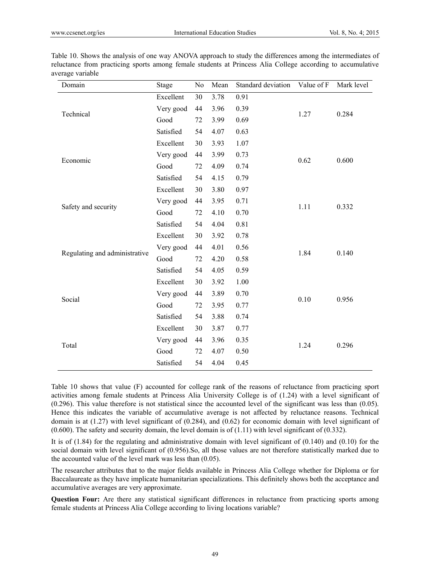| Domain                        | Stage     | No | Mean | Standard deviation | Value of F | Mark level |
|-------------------------------|-----------|----|------|--------------------|------------|------------|
|                               | Excellent | 30 | 3.78 | 0.91               |            |            |
| Technical                     | Very good | 44 | 3.96 | 0.39               | 1.27       | 0.284      |
|                               | Good      | 72 | 3.99 | 0.69               |            |            |
|                               | Satisfied | 54 | 4.07 | 0.63               |            |            |
|                               | Excellent | 30 | 3.93 | 1.07               |            |            |
|                               | Very good | 44 | 3.99 | 0.73               |            |            |
| Economic                      | Good      | 72 | 4.09 | 0.74               | 0.62       | 0.600      |
|                               | Satisfied | 54 | 4.15 | 0.79               |            |            |
|                               | Excellent | 30 | 3.80 | 0.97               |            |            |
|                               | Very good | 44 | 3.95 | 0.71               |            | 0.332      |
| Safety and security           | Good      | 72 | 4.10 | 0.70               | 1.11       |            |
|                               | Satisfied | 54 | 4.04 | 0.81               |            |            |
|                               | Excellent | 30 | 3.92 | 0.78               |            | 0.140      |
|                               | Very good | 44 | 4.01 | 0.56               | 1.84       |            |
| Regulating and administrative | Good      | 72 | 4.20 | 0.58               |            |            |
|                               | Satisfied | 54 | 4.05 | 0.59               |            |            |
|                               | Excellent | 30 | 3.92 | 1.00               |            |            |
|                               | Very good | 44 | 3.89 | 0.70               |            |            |
| Social                        | Good      | 72 | 3.95 | 0.77               | 0.10       | 0.956      |
|                               | Satisfied | 54 | 3.88 | 0.74               |            |            |
|                               | Excellent | 30 | 3.87 | 0.77               |            |            |
|                               | Very good | 44 | 3.96 | 0.35               |            |            |
| Total                         | Good      | 72 | 4.07 | 0.50               | 1.24       | 0.296      |
|                               | Satisfied | 54 | 4.04 | 0.45               |            |            |

Table 10. Shows the analysis of one way ANOVA approach to study the differences among the intermediates of reluctance from practicing sports among female students at Princess Alia College according to accumulative average variable

Table 10 shows that value (F) accounted for college rank of the reasons of reluctance from practicing sport activities among female students at Princess Alia University College is of (1.24) with a level significant of (0.296). This value therefore is not statistical since the accounted level of the significant was less than (0.05). Hence this indicates the variable of accumulative average is not affected by reluctance reasons. Technical domain is at (1.27) with level significant of (0.284), and (0.62) for economic domain with level significant of  $(0.600)$ . The safety and security domain, the level domain is of  $(1.11)$  with level significant of  $(0.332)$ .

It is of  $(1.84)$  for the regulating and administrative domain with level significant of  $(0.140)$  and  $(0.10)$  for the social domain with level significant of (0.956).So, all those values are not therefore statistically marked due to the accounted value of the level mark was less than (0.05).

The researcher attributes that to the major fields available in Princess Alia College whether for Diploma or for Baccalaureate as they have implicate humanitarian specializations. This definitely shows both the acceptance and accumulative averages are very approximate.

**Question Four:** Are there any statistical significant differences in reluctance from practicing sports among female students at Princess Alia College according to living locations variable?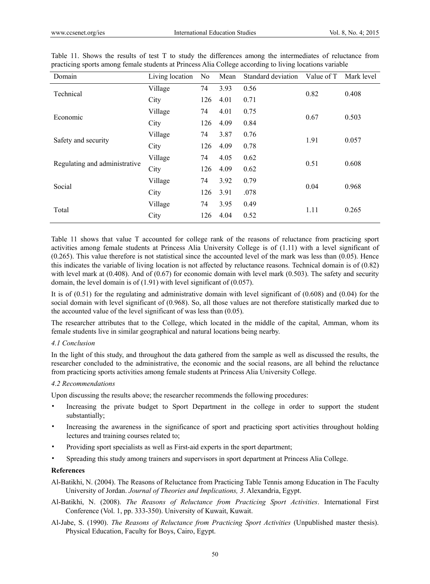| Domain                        | Living location | No  | Mean | Standard deviation | Value of T | Mark level |  |
|-------------------------------|-----------------|-----|------|--------------------|------------|------------|--|
| Technical                     | Village         | 74  | 3.93 | 0.56               | 0.82       | 0.408      |  |
|                               | City            | 126 | 4.01 | 0.71               |            |            |  |
| Economic                      | Village         | 74  | 4.01 | 0.75               | 0.67       | 0.503      |  |
|                               | City            | 126 | 4.09 | 0.84               |            |            |  |
| Safety and security           | Village         | 74  | 3.87 | 0.76               | 1.91       | 0.057      |  |
|                               | City            | 126 | 4.09 | 0.78               |            |            |  |
| Regulating and administrative | Village         | 74  | 4.05 | 0.62               | 0.51       | 0.608      |  |
|                               | City            | 126 | 4.09 | 0.62               |            |            |  |
| Social                        | Village         | 74  | 3.92 | 0.79               | 0.04       | 0.968      |  |
|                               | City            | 126 | 3.91 | .078               |            |            |  |
| Total                         | Village         | 74  | 3.95 | 0.49               | 1.11       | 0.265      |  |
|                               | City            | 126 | 4.04 | 0.52               |            |            |  |

|                                                                                                         |  |  |  |  |  |  |  |  |  |  |  |  | Table 11. Shows the results of test T to study the differences among the intermediates of reluctance from |  |  |
|---------------------------------------------------------------------------------------------------------|--|--|--|--|--|--|--|--|--|--|--|--|-----------------------------------------------------------------------------------------------------------|--|--|
| practicing sports among female students at Princess Alia College according to living locations variable |  |  |  |  |  |  |  |  |  |  |  |  |                                                                                                           |  |  |

Table 11 shows that value T accounted for college rank of the reasons of reluctance from practicing sport activities among female students at Princess Alia University College is of (1.11) with a level significant of (0.265). This value therefore is not statistical since the accounted level of the mark was less than (0.05). Hence this indicates the variable of living location is not affected by reluctance reasons. Technical domain is of (0.82) with level mark at (0.408). And of (0.67) for economic domain with level mark (0.503). The safety and security domain, the level domain is of (1.91) with level significant of (0.057).

It is of  $(0.51)$  for the regulating and administrative domain with level significant of  $(0.608)$  and  $(0.04)$  for the social domain with level significant of (0.968). So, all those values are not therefore statistically marked due to the accounted value of the level significant of was less than (0.05).

The researcher attributes that to the College, which located in the middle of the capital, Amman, whom its female students live in similar geographical and natural locations being nearby.

#### *4.1 Conclusion*

In the light of this study, and throughout the data gathered from the sample as well as discussed the results, the researcher concluded to the administrative, the economic and the social reasons, are all behind the reluctance from practicing sports activities among female students at Princess Alia University College.

#### *4.2 Recommendations*

Upon discussing the results above; the researcher recommends the following procedures:

- Increasing the private budget to Sport Department in the college in order to support the student substantially;
- Increasing the awareness in the significance of sport and practicing sport activities throughout holding lectures and training courses related to;
- Providing sport specialists as well as First-aid experts in the sport department;
- Spreading this study among trainers and supervisors in sport department at Princess Alia College.

#### **References**

- Al-Batikhi, N. (2004). The Reasons of Reluctance from Practicing Table Tennis among Education in The Faculty University of Jordan. *Journal of Theories and Implications, 3*. Alexandria, Egypt.
- Al-Batikhi, N. (2008). *The Reasons of Reluctance from Practicing Sport Activities*. International First Conference (Vol. 1, pp. 333-350). University of Kuwait, Kuwait.
- Al-Jabe, S. (1990). *The Reasons of Reluctance from Practicing Sport Activities* (Unpublished master thesis). Physical Education, Faculty for Boys, Cairo, Egypt.